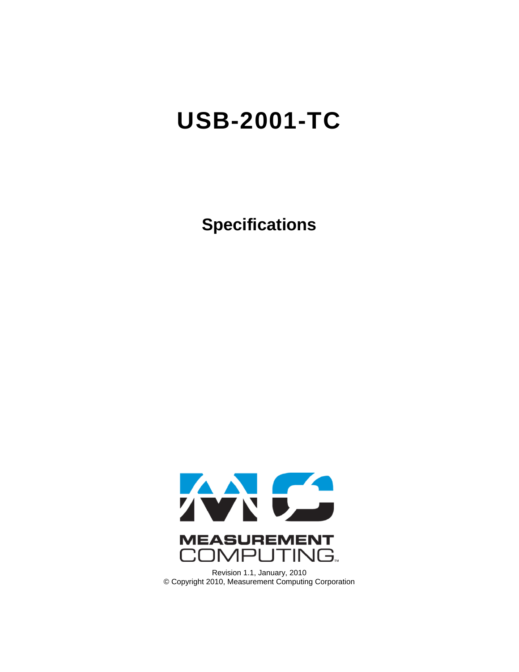# **USB-2001-TC**

**Specifications**



Revision 1.1, January, 2010 © Copyright 2010, Measurement Computing Corporation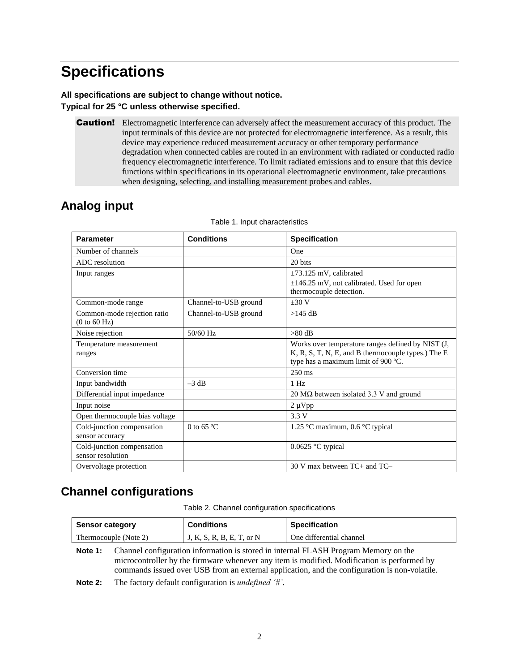## **Specifications**

#### **All specifications are subject to change without notice. Typical for 25 °C unless otherwise specified.**

**Caution!** Electromagnetic interference can adversely affect the measurement accuracy of this product. The input terminals of this device are not protected for electromagnetic interference. As a result, this device may experience reduced measurement accuracy or other temporary performance degradation when connected cables are routed in an environment with radiated or conducted radio frequency electromagnetic interference. To limit radiated emissions and to ensure that this device functions within specifications in its operational electromagnetic environment, take precautions when designing, selecting, and installing measurement probes and cables.

## **Analog input**

| <b>Parameter</b>                                | <b>Conditions</b>     | <b>Specification</b>                                                                                                                           |
|-------------------------------------------------|-----------------------|------------------------------------------------------------------------------------------------------------------------------------------------|
| Number of channels                              |                       | One                                                                                                                                            |
| ADC resolution                                  |                       | 20 bits                                                                                                                                        |
| Input ranges                                    |                       | $\pm$ 73.125 mV, calibrated                                                                                                                    |
|                                                 |                       | ±146.25 mV, not calibrated. Used for open<br>thermocouple detection.                                                                           |
| Common-mode range                               | Channel-to-USB ground | $+30V$                                                                                                                                         |
| Common-mode rejection ratio<br>(0 to 60 Hz)     | Channel-to-USB ground | $>145$ dB                                                                                                                                      |
| Noise rejection                                 | 50/60 Hz              | $>80$ dB                                                                                                                                       |
| Temperature measurement<br>ranges               |                       | Works over temperature ranges defined by NIST (J,<br>K, R, S, T, N, E, and B thermocouple types.) The E<br>type has a maximum limit of 900 °C. |
| Conversion time                                 |                       | $250 \text{ ms}$                                                                                                                               |
| Input bandwidth                                 | $-3$ dB               | 1 Hz                                                                                                                                           |
| Differential input impedance                    |                       | 20 $\text{M}\Omega$ between isolated 3.3 V and ground                                                                                          |
| Input noise                                     |                       | $2 \mu Vpp$                                                                                                                                    |
| Open thermocouple bias voltage                  |                       | 3.3 V                                                                                                                                          |
| Cold-junction compensation<br>sensor accuracy   | 0 to 65 $^{\circ}$ C  | 1.25 °C maximum, 0.6 °C typical                                                                                                                |
| Cold-junction compensation<br>sensor resolution |                       | 0.0625 °C typical                                                                                                                              |
| Overvoltage protection                          |                       | 30 V max between TC+ and TC-                                                                                                                   |

#### Table 1. Input characteristics

#### **Channel configurations**

Table 2. Channel configuration specifications

| <b>Sensor category</b> | <b>Conditions</b>         | <b>Specification</b>     |
|------------------------|---------------------------|--------------------------|
| Thermocouple (Note 2)  | J, K, S, R, B, E, T, or N | One differential channel |

**Note 1:** Channel configuration information is stored in internal FLASH Program Memory on the microcontroller by the firmware whenever any item is modified. Modification is performed by commands issued over USB from an external application, and the configuration is non-volatile.

**Note 2:** The factory default configuration is *undefined '#'*.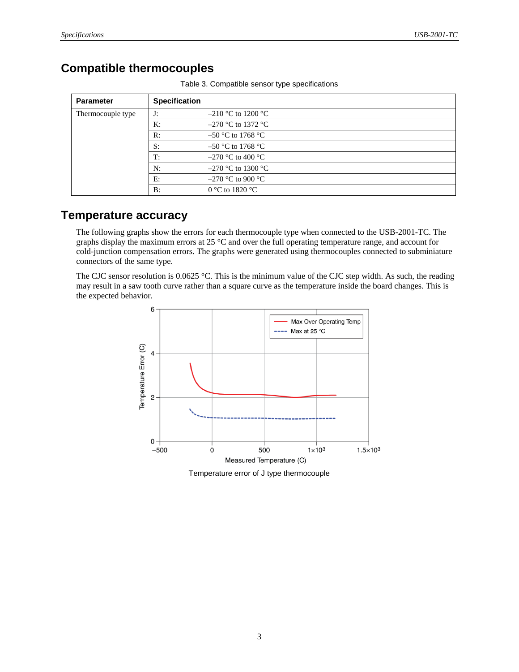#### **Compatible thermocouples**

| <b>Parameter</b>  | <b>Specification</b> |                      |
|-------------------|----------------------|----------------------|
| Thermocouple type | J:                   | $-210$ °C to 1200 °C |
|                   | K:                   | $-270$ °C to 1372 °C |
|                   | R:                   | $-50$ °C to 1768 °C  |
|                   | S:                   | $-50$ °C to 1768 °C  |
|                   | T:                   | $-270$ °C to 400 °C  |
|                   | N:                   | $-270$ °C to 1300 °C |
|                   | E:                   | $-270$ °C to 900 °C  |
|                   | B:                   | 0 °C to 1820 °C      |

Table 3. Compatible sensor type specifications

#### **Temperature accuracy**

The following graphs show the errors for each thermocouple type when connected to the USB-2001-TC. The graphs display the maximum errors at 25 °C and over the full operating temperature range, and account for cold-junction compensation errors. The graphs were generated using thermocouples connected to subminiature connectors of the same type.

The CJC sensor resolution is  $0.0625$  °C. This is the minimum value of the CJC step width. As such, the reading may result in a saw tooth curve rather than a square curve as the temperature inside the board changes. This is the expected behavior.



Temperature error of J type thermocouple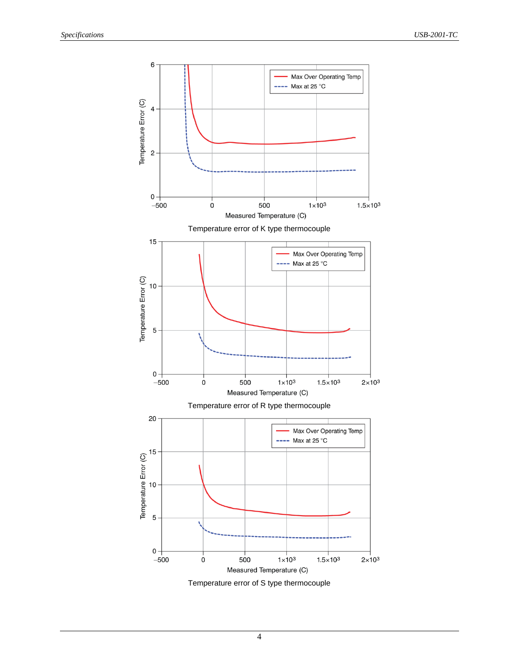

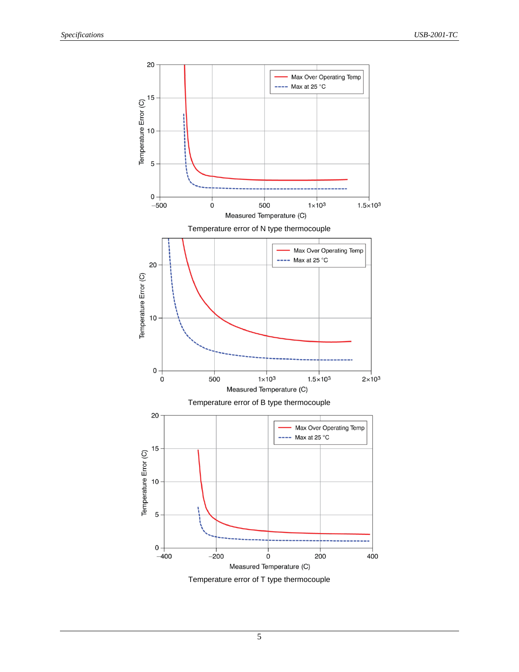

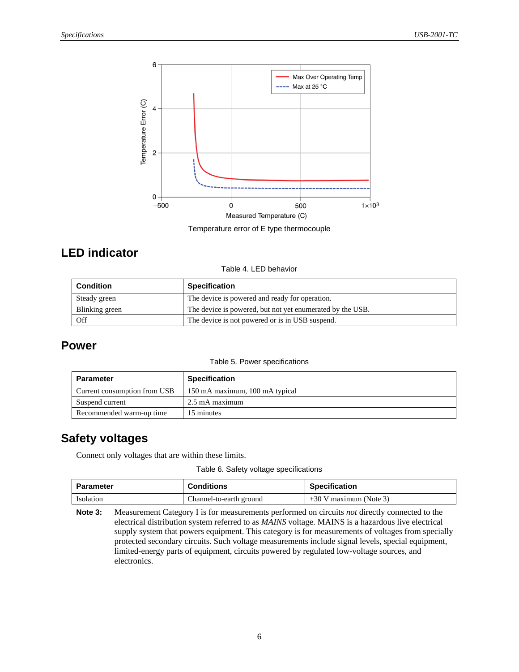

Temperature error of E type thermocouple

#### **LED indicator**

Table 4. LED behavior

| <b>Condition</b> | <b>Specification</b>                                      |
|------------------|-----------------------------------------------------------|
| Steady green     | The device is powered and ready for operation.            |
| Blinking green   | The device is powered, but not yet enumerated by the USB. |
| Off              | The device is not powered or is in USB suspend.           |

#### **Power**

#### Table 5. Power specifications

| <b>Parameter</b>             | <b>Specification</b>           |
|------------------------------|--------------------------------|
| Current consumption from USB | 150 mA maximum, 100 mA typical |
| Suspend current              | 2.5 mA maximum                 |
| Recommended warm-up time     | 15 minutes                     |

#### **Safety voltages**

Connect only voltages that are within these limits.

Table 6. Safety voltage specifications

| Parameter | <b>Conditions</b>       | <b>Specification</b>     |
|-----------|-------------------------|--------------------------|
| Isolation | Channel-to-earth ground | $+30$ V maximum (Note 3) |

**Note 3:** Measurement Category I is for measurements performed on circuits *not* directly connected to the electrical distribution system referred to as *MAINS* voltage. MAINS is a hazardous live electrical supply system that powers equipment. This category is for measurements of voltages from specially protected secondary circuits. Such voltage measurements include signal levels, special equipment, limited-energy parts of equipment, circuits powered by regulated low-voltage sources, and electronics.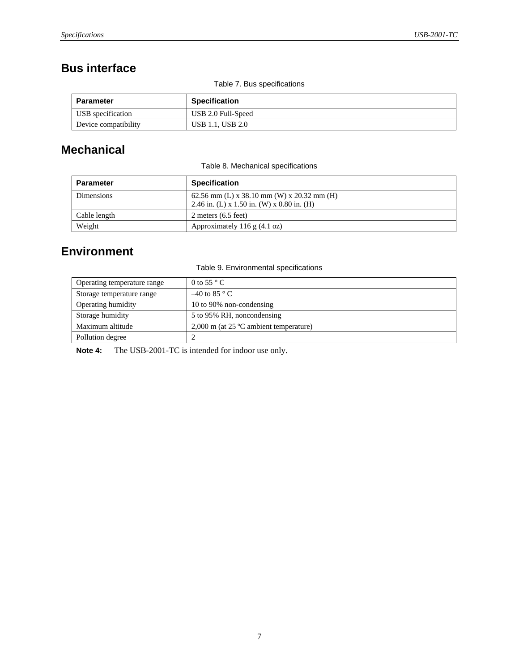### **Bus interface**

Table 7. Bus specifications

| Parameter            | <b>Specification</b>    |
|----------------------|-------------------------|
| USB specification    | USB 2.0 Full-Speed      |
| Device compatibility | <b>USB 1.1, USB 2.0</b> |

#### **Mechanical**

Table 8. Mechanical specifications

| <b>Parameter</b>  | <b>Specification</b>                                                                     |
|-------------------|------------------------------------------------------------------------------------------|
| <b>Dimensions</b> | 62.56 mm (L) x 38.10 mm (W) x 20.32 mm (H)<br>2.46 in. (L) x 1.50 in. (W) x 0.80 in. (H) |
| Cable length      | 2 meters $(6.5$ feet)                                                                    |
| Weight            | Approximately 116 $g$ (4.1 oz)                                                           |

## **Environment**

Table 9. Environmental specifications

| Operating temperature range | 0 to 55 $\degree$ C                                |
|-----------------------------|----------------------------------------------------|
| Storage temperature range   | $-40$ to 85 ° C                                    |
| Operating humidity          | 10 to 90% non-condensing                           |
| Storage humidity            | 5 to 95% RH, noncondensing                         |
| Maximum altitude            | $2,000$ m (at 25 $^{\circ}$ C ambient temperature) |
| Pollution degree            |                                                    |

**Note 4:** The USB-2001-TC is intended for indoor use only.